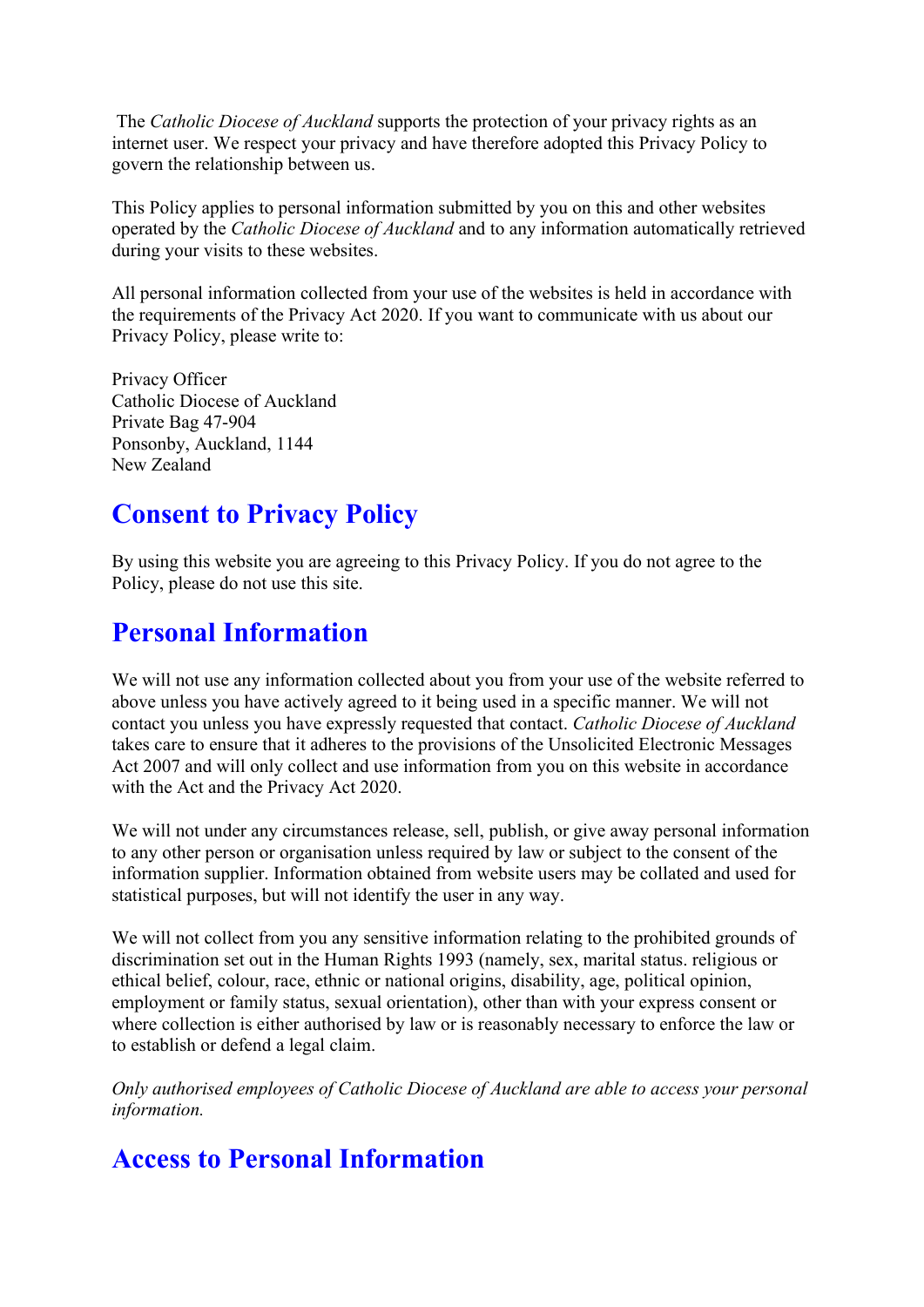The *Catholic Diocese of Auckland* supports the protection of your privacy rights as an internet user. We respect your privacy and have therefore adopted this Privacy Policy to govern the relationship between us.

This Policy applies to personal information submitted by you on this and other websites operated by the *Catholic Diocese of Auckland* and to any information automatically retrieved during your visits to these websites.

All personal information collected from your use of the websites is held in accordance with the requirements of the Privacy Act 2020. If you want to communicate with us about our Privacy Policy, please write to:

Privacy Officer Catholic Diocese of Auckland Private Bag 47-904 Ponsonby, Auckland, 1144 New Zealand

## **Consent to Privacy Policy**

By using this website you are agreeing to this Privacy Policy. If you do not agree to the Policy, please do not use this site.

### **Personal Information**

We will not use any information collected about you from your use of the website referred to above unless you have actively agreed to it being used in a specific manner. We will not contact you unless you have expressly requested that contact. *Catholic Diocese of Auckland*  takes care to ensure that it adheres to the provisions of the Unsolicited Electronic Messages Act 2007 and will only collect and use information from you on this website in accordance with the Act and the Privacy Act 2020.

We will not under any circumstances release, sell, publish, or give away personal information to any other person or organisation unless required by law or subject to the consent of the information supplier. Information obtained from website users may be collated and used for statistical purposes, but will not identify the user in any way.

We will not collect from you any sensitive information relating to the prohibited grounds of discrimination set out in the Human Rights 1993 (namely, sex, marital status. religious or ethical belief, colour, race, ethnic or national origins, disability, age, political opinion, employment or family status, sexual orientation), other than with your express consent or where collection is either authorised by law or is reasonably necessary to enforce the law or to establish or defend a legal claim.

*Only authorised employees of Catholic Diocese of Auckland are able to access your personal information.*

# **Access to Personal Information**